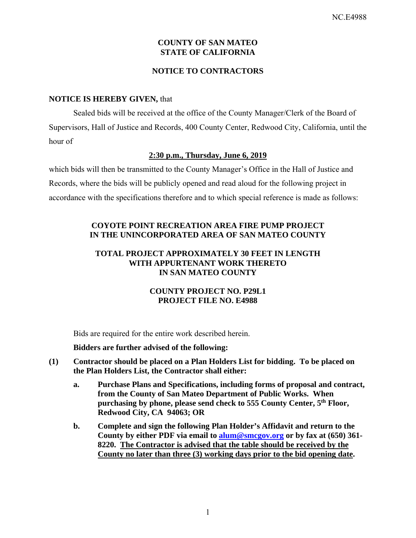## **COUNTY OF SAN MATEO STATE OF CALIFORNIA**

## **NOTICE TO CONTRACTORS**

## **NOTICE IS HEREBY GIVEN,** that

Sealed bids will be received at the office of the County Manager/Clerk of the Board of Supervisors, Hall of Justice and Records, 400 County Center, Redwood City, California, until the hour of

## **2:30 p.m., Thursday, June 6, 2019**

which bids will then be transmitted to the County Manager's Office in the Hall of Justice and Records, where the bids will be publicly opened and read aloud for the following project in accordance with the specifications therefore and to which special reference is made as follows:

## **COYOTE POINT RECREATION AREA FIRE PUMP PROJECT IN THE UNINCORPORATED AREA OF SAN MATEO COUNTY**

### **TOTAL PROJECT APPROXIMATELY 30 FEET IN LENGTH WITH APPURTENANT WORK THERETO IN SAN MATEO COUNTY**

## **COUNTY PROJECT NO. P29L1 PROJECT FILE NO. E4988**

Bids are required for the entire work described herein.

**Bidders are further advised of the following:** 

- **(1) Contractor should be placed on a Plan Holders List for bidding. To be placed on the Plan Holders List, the Contractor shall either:** 
	- **a. Purchase Plans and Specifications, including forms of proposal and contract, from the County of San Mateo Department of Public Works. When purchasing by phone, please send check to 555 County Center, 5th Floor, Redwood City, CA 94063; OR**
	- **b. Complete and sign the following Plan Holder's Affidavit and return to the County by either PDF via email to alum@smcgov.org or by fax at (650) 361- 8220. The Contractor is advised that the table should be received by the County no later than three (3) working days prior to the bid opening date.**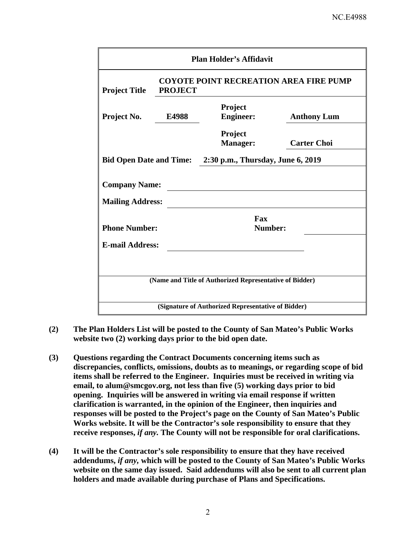| <b>Plan Holder's Affidavit</b>                            |                                                                 |                             |                    |  |  |
|-----------------------------------------------------------|-----------------------------------------------------------------|-----------------------------|--------------------|--|--|
| <b>Project Title</b>                                      | <b>COYOTE POINT RECREATION AREA FIRE PUMP</b><br><b>PROJECT</b> |                             |                    |  |  |
| Project No.                                               | E4988                                                           | Project<br><b>Engineer:</b> | <b>Anthony Lum</b> |  |  |
|                                                           |                                                                 | Project<br><b>Manager:</b>  | <b>Carter Choi</b> |  |  |
| Bid Open Date and Time: 2:30 p.m., Thursday, June 6, 2019 |                                                                 |                             |                    |  |  |
| <b>Company Name:</b>                                      |                                                                 |                             |                    |  |  |
| <b>Mailing Address:</b>                                   |                                                                 |                             |                    |  |  |
| <b>Phone Number:</b>                                      |                                                                 | Fax<br>Number:              |                    |  |  |
| <b>E-mail Address:</b>                                    |                                                                 |                             |                    |  |  |
|                                                           |                                                                 |                             |                    |  |  |
| (Name and Title of Authorized Representative of Bidder)   |                                                                 |                             |                    |  |  |
| (Signature of Authorized Representative of Bidder)        |                                                                 |                             |                    |  |  |

- **(2) The Plan Holders List will be posted to the County of San Mateo's Public Works website two (2) working days prior to the bid open date.**
- **(3) Questions regarding the Contract Documents concerning items such as discrepancies, conflicts, omissions, doubts as to meanings, or regarding scope of bid items shall be referred to the Engineer. Inquiries must be received in writing via email, to alum@smcgov.org, not less than five (5) working days prior to bid opening. Inquiries will be answered in writing via email response if written clarification is warranted, in the opinion of the Engineer, then inquiries and responses will be posted to the Project's page on the County of San Mateo's Public Works website. It will be the Contractor's sole responsibility to ensure that they receive responses,** *if any.* **The County will not be responsible for oral clarifications.**
- **(4) It will be the Contractor's sole responsibility to ensure that they have received addendums,** *if any,* **which will be posted to the County of San Mateo's Public Works website on the same day issued. Said addendums will also be sent to all current plan holders and made available during purchase of Plans and Specifications.**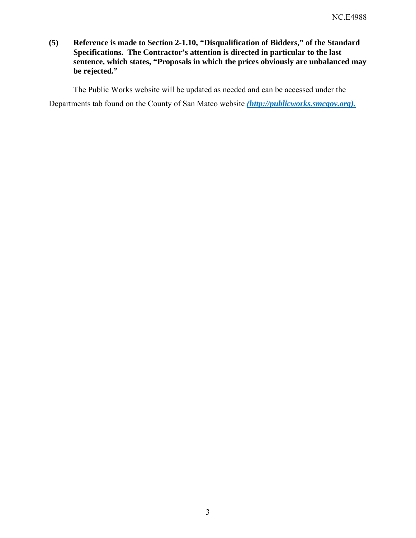**(5) Reference is made to Section 2-1.10, "Disqualification of Bidders," of the Standard Specifications. The Contractor's attention is directed in particular to the last sentence, which states, "Proposals in which the prices obviously are unbalanced may be rejected."** 

The Public Works website will be updated as needed and can be accessed under the

Departments tab found on the County of San Mateo website *(http://publicworks.smcgov.org).*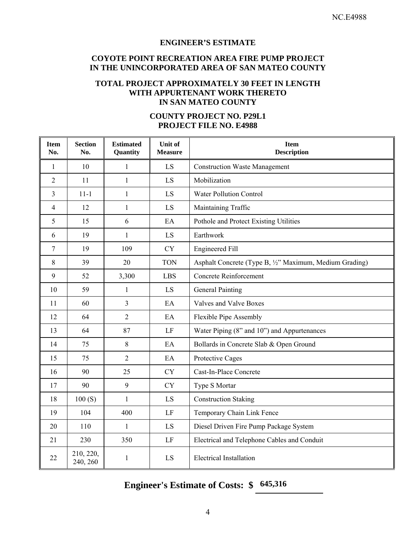#### **ENGINEER'S ESTIMATE**

#### **COYOTE POINT RECREATION AREA FIRE PUMP PROJECT IN THE UNINCORPORATED AREA OF SAN MATEO COUNTY**

## **TOTAL PROJECT APPROXIMATELY 30 FEET IN LENGTH WITH APPURTENANT WORK THERETO IN SAN MATEO COUNTY**

| <b>Item</b><br>No. | <b>Section</b><br>No. | <b>Estimated</b><br>Quantity | Unit of<br><b>Measure</b> | <b>Item</b><br><b>Description</b>                       |  |
|--------------------|-----------------------|------------------------------|---------------------------|---------------------------------------------------------|--|
| $\mathbf{1}$       | 10                    | 1                            | LS                        | <b>Construction Waste Management</b>                    |  |
| $\overline{2}$     | 11                    | $\mathbf{1}$                 | LS                        | Mobilization                                            |  |
| 3                  | $11 - 1$              | $\mathbf{1}$                 | LS                        | <b>Water Pollution Control</b>                          |  |
| $\overline{4}$     | 12                    | 1                            | LS                        | Maintaining Traffic                                     |  |
| 5                  | 15                    | 6                            | EA                        | Pothole and Protect Existing Utilities                  |  |
| 6                  | 19                    | $\mathbf{1}$                 | LS                        | Earthwork                                               |  |
| $\overline{7}$     | 19                    | 109                          | <b>CY</b>                 | <b>Engineered Fill</b>                                  |  |
| 8                  | 39                    | 20                           | <b>TON</b>                | Asphalt Concrete (Type B, 1/2" Maximum, Medium Grading) |  |
| 9                  | 52                    | 3,300                        | <b>LBS</b>                | Concrete Reinforcement                                  |  |
| 10                 | 59                    | 1                            | LS                        | <b>General Painting</b>                                 |  |
| 11                 | 60                    | 3                            | EA                        | Valves and Valve Boxes                                  |  |
| 12                 | 64                    | $\overline{2}$               | EA                        | Flexible Pipe Assembly                                  |  |
| 13                 | 64                    | 87                           | LF                        | Water Piping (8" and 10") and Appurtenances             |  |
| 14                 | 75                    | $\,8\,$                      | EA                        | Bollards in Concrete Slab & Open Ground                 |  |
| 15                 | 75                    | $\overline{2}$               | EA                        | Protective Cages                                        |  |
| 16                 | 90                    | 25                           | <b>CY</b>                 | Cast-In-Place Concrete                                  |  |
| 17                 | 90                    | 9                            | <b>CY</b>                 | Type S Mortar                                           |  |
| 18                 | 100(S)                | 1                            | LS                        | <b>Construction Staking</b>                             |  |
| 19                 | 104                   | 400                          | LF                        | Temporary Chain Link Fence                              |  |
| 20                 | 110                   | $\mathbf{1}$                 | LS                        | Diesel Driven Fire Pump Package System                  |  |
| 21                 | 230                   | 350                          | LF                        | Electrical and Telephone Cables and Conduit             |  |
| 22                 | 210, 220,<br>240, 260 | 1                            | LS                        | <b>Electrical Installation</b>                          |  |

#### **COUNTY PROJECT NO. P29L1 PROJECT FILE NO. E4988**

# **Engineer's Estimate of Costs: \$ 645,316**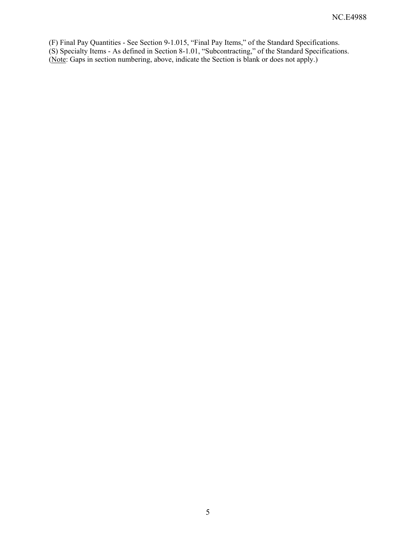(F) Final Pay Quantities - See Section 9-1.015, "Final Pay Items," of the Standard Specifications. (S) Specialty Items - As defined in Section 8-1.01, "Subcontracting," of the Standard Specifications. (Note: Gaps in section numbering, above, indicate the Section is blank or does not apply.)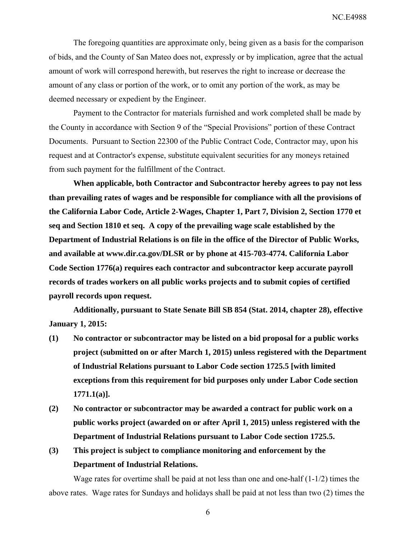NC.E4988

The foregoing quantities are approximate only, being given as a basis for the comparison of bids, and the County of San Mateo does not, expressly or by implication, agree that the actual amount of work will correspond herewith, but reserves the right to increase or decrease the amount of any class or portion of the work, or to omit any portion of the work, as may be deemed necessary or expedient by the Engineer.

Payment to the Contractor for materials furnished and work completed shall be made by the County in accordance with Section 9 of the "Special Provisions" portion of these Contract Documents. Pursuant to Section 22300 of the Public Contract Code, Contractor may, upon his request and at Contractor's expense, substitute equivalent securities for any moneys retained from such payment for the fulfillment of the Contract.

**When applicable, both Contractor and Subcontractor hereby agrees to pay not less than prevailing rates of wages and be responsible for compliance with all the provisions of the California Labor Code, Article 2-Wages, Chapter 1, Part 7, Division 2, Section 1770 et seq and Section 1810 et seq. A copy of the prevailing wage scale established by the Department of Industrial Relations is on file in the office of the Director of Public Works, and available at www.dir.ca.gov/DLSR or by phone at 415-703-4774. California Labor Code Section 1776(a) requires each contractor and subcontractor keep accurate payroll records of trades workers on all public works projects and to submit copies of certified payroll records upon request.** 

**Additionally, pursuant to State Senate Bill SB 854 (Stat. 2014, chapter 28), effective January 1, 2015:** 

- **(1) No contractor or subcontractor may be listed on a bid proposal for a public works project (submitted on or after March 1, 2015) unless registered with the Department of Industrial Relations pursuant to Labor Code section 1725.5 [with limited exceptions from this requirement for bid purposes only under Labor Code section 1771.1(a)].**
- **(2) No contractor or subcontractor may be awarded a contract for public work on a public works project (awarded on or after April 1, 2015) unless registered with the Department of Industrial Relations pursuant to Labor Code section 1725.5.**
- **(3) This project is subject to compliance monitoring and enforcement by the Department of Industrial Relations.**

Wage rates for overtime shall be paid at not less than one and one-half (1-1/2) times the above rates. Wage rates for Sundays and holidays shall be paid at not less than two (2) times the

6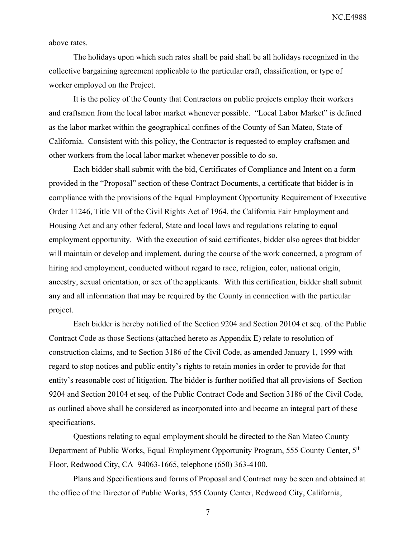NC.E4988

above rates.

The holidays upon which such rates shall be paid shall be all holidays recognized in the collective bargaining agreement applicable to the particular craft, classification, or type of worker employed on the Project.

It is the policy of the County that Contractors on public projects employ their workers and craftsmen from the local labor market whenever possible. "Local Labor Market" is defined as the labor market within the geographical confines of the County of San Mateo, State of California. Consistent with this policy, the Contractor is requested to employ craftsmen and other workers from the local labor market whenever possible to do so.

Each bidder shall submit with the bid, Certificates of Compliance and Intent on a form provided in the "Proposal" section of these Contract Documents, a certificate that bidder is in compliance with the provisions of the Equal Employment Opportunity Requirement of Executive Order 11246, Title VII of the Civil Rights Act of 1964, the California Fair Employment and Housing Act and any other federal, State and local laws and regulations relating to equal employment opportunity. With the execution of said certificates, bidder also agrees that bidder will maintain or develop and implement, during the course of the work concerned, a program of hiring and employment, conducted without regard to race, religion, color, national origin, ancestry, sexual orientation, or sex of the applicants. With this certification, bidder shall submit any and all information that may be required by the County in connection with the particular project.

Each bidder is hereby notified of the Section 9204 and Section 20104 et seq. of the Public Contract Code as those Sections (attached hereto as Appendix E) relate to resolution of construction claims, and to Section 3186 of the Civil Code, as amended January 1, 1999 with regard to stop notices and public entity's rights to retain monies in order to provide for that entity's reasonable cost of litigation. The bidder is further notified that all provisions of Section 9204 and Section 20104 et seq. of the Public Contract Code and Section 3186 of the Civil Code, as outlined above shall be considered as incorporated into and become an integral part of these specifications.

Questions relating to equal employment should be directed to the San Mateo County Department of Public Works, Equal Employment Opportunity Program, 555 County Center, 5th Floor, Redwood City, CA 94063-1665, telephone (650) 363-4100.

Plans and Specifications and forms of Proposal and Contract may be seen and obtained at the office of the Director of Public Works, 555 County Center, Redwood City, California,

7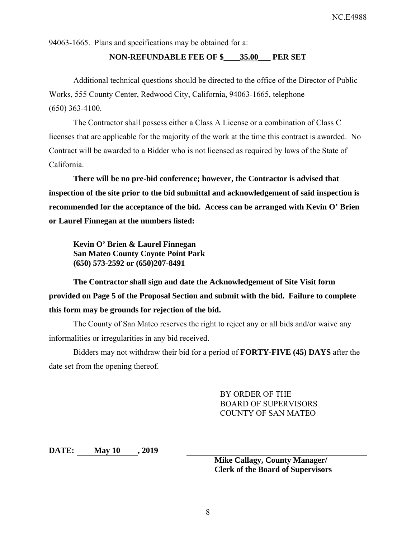94063-1665. Plans and specifications may be obtained for a:

#### **NON-REFUNDABLE FEE OF \$\_\_\_\_35.00\_\_\_ PER SET**

Additional technical questions should be directed to the office of the Director of Public Works, 555 County Center, Redwood City, California, 94063-1665, telephone (650) 363-4100.

The Contractor shall possess either a Class A License or a combination of Class C licenses that are applicable for the majority of the work at the time this contract is awarded. No Contract will be awarded to a Bidder who is not licensed as required by laws of the State of California.

**There will be no pre-bid conference; however, the Contractor is advised that inspection of the site prior to the bid submittal and acknowledgement of said inspection is recommended for the acceptance of the bid. Access can be arranged with Kevin O' Brien or Laurel Finnegan at the numbers listed:** 

**Kevin O' Brien & Laurel Finnegan San Mateo County Coyote Point Park (650) 573-2592 or (650)207-8491** 

**The Contractor shall sign and date the Acknowledgement of Site Visit form provided on Page 5 of the Proposal Section and submit with the bid. Failure to complete this form may be grounds for rejection of the bid.** 

The County of San Mateo reserves the right to reject any or all bids and/or waive any informalities or irregularities in any bid received.

Bidders may not withdraw their bid for a period of **FORTY-FIVE (45) DAYS** after the date set from the opening thereof.

> BY ORDER OF THE BOARD OF SUPERVISORS COUNTY OF SAN MATEO

**DATE: May 10 , 2019** 

**Mike Callagy, County Manager/ Clerk of the Board of Supervisors**